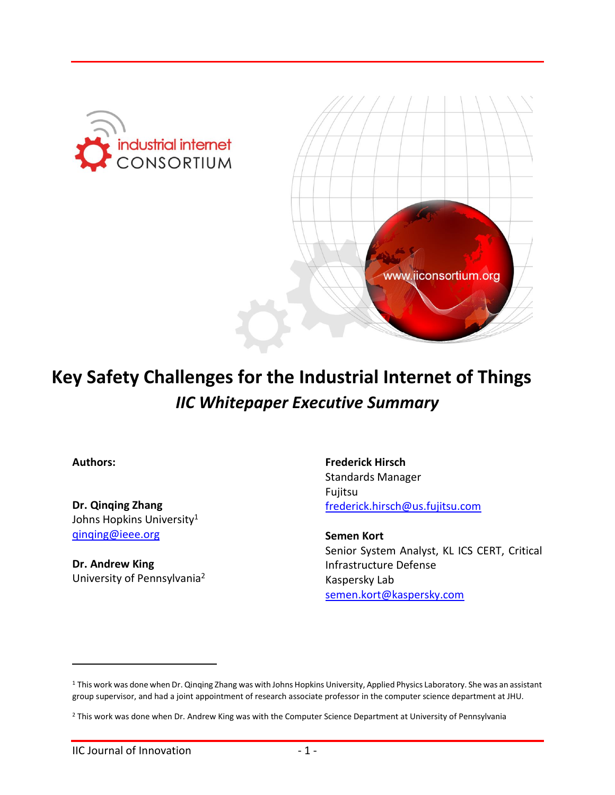



# **Key Safety Challenges for the Industrial Internet of Things** *IIC Whitepaper Executive Summary*

**Authors:**

 $\overline{a}$ 

**Dr. Qinqing Zhang** Johns Hopkins University<sup>1</sup> [qinqing@ieee.org](mailto:qinqing@ieee.org)

**Dr. Andrew King** University of Pennsylvania<sup>2</sup>

**Frederick Hirsch** Standards Manager Fujitsu [frederick.hirsch@us.fujitsu.com](mailto:frederick.hirsch@us.fujitsu.com)

**Semen Kort** Senior System Analyst, KL ICS CERT, Critical Infrastructure Defense Kaspersky Lab [semen.kort@kaspersky.com](mailto:semen.kort@kaspersky.com)

<sup>1</sup> This work was done when Dr. Qinqing Zhang was with Johns Hopkins University, Applied Physics Laboratory. She was an assistant group supervisor, and had a joint appointment of research associate professor in the computer science department at JHU.

<sup>&</sup>lt;sup>2</sup> This work was done when Dr. Andrew King was with the Computer Science Department at University of Pennsylvania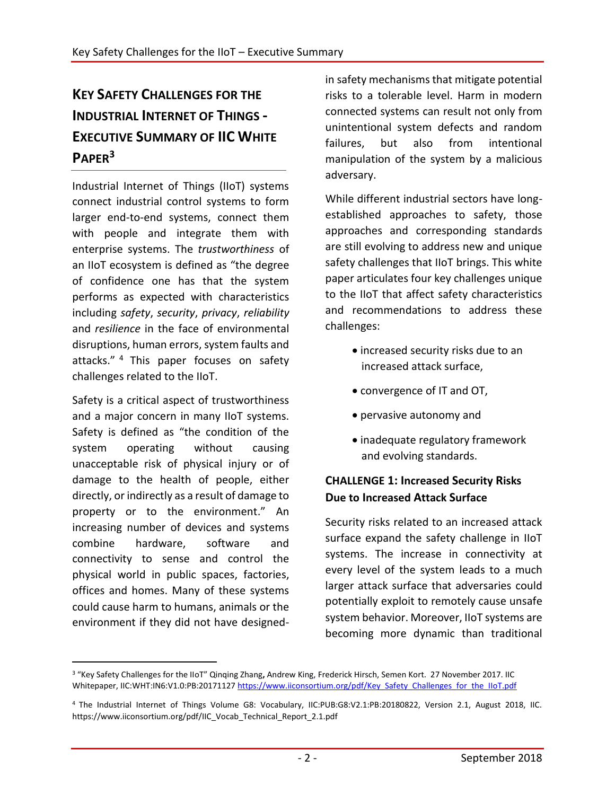## **KEY SAFETY CHALLENGES FOR THE INDUSTRIAL INTERNET OF THINGS - EXECUTIVE SUMMARY OF IIC WHITE PAPER<sup>3</sup>**

Industrial Internet of Things (IIoT) systems connect industrial control systems to form larger end-to-end systems, connect them with people and integrate them with enterprise systems. The *trustworthiness* of an IIoT ecosystem is defined as "the degree of confidence one has that the system performs as expected with characteristics including *safety*, *security*, *privacy*, *reliability* and *resilience* in the face of environmental disruptions, human errors, system faults and attacks."<sup>4</sup> This paper focuses on safety challenges related to the IIoT.

Safety is a critical aspect of trustworthiness and a major concern in many IIoT systems. Safety is defined as "the condition of the system operating without causing unacceptable risk of physical injury or of damage to the health of people, either directly, or indirectly as a result of damage to property or to the environment." An increasing number of devices and systems combine hardware, software and connectivity to sense and control the physical world in public spaces, factories, offices and homes. Many of these systems could cause harm to humans, animals or the environment if they did not have designed-

 $\overline{a}$ 

in safety mechanisms that mitigate potential risks to a tolerable level. Harm in modern connected systems can result not only from unintentional system defects and random failures, but also from intentional manipulation of the system by a malicious adversary.

While different industrial sectors have longestablished approaches to safety, those approaches and corresponding standards are still evolving to address new and unique safety challenges that IIoT brings. This white paper articulates four key challenges unique to the IIoT that affect safety characteristics and recommendations to address these challenges:

- increased security risks due to an increased attack surface,
- convergence of IT and OT,
- pervasive autonomy and
- inadequate regulatory framework and evolving standards.

#### **CHALLENGE 1: Increased Security Risks Due to Increased Attack Surface**

Security risks related to an increased attack surface expand the safety challenge in IIoT systems. The increase in connectivity at every level of the system leads to a much larger attack surface that adversaries could potentially exploit to remotely cause unsafe system behavior. Moreover, IIoT systems are becoming more dynamic than traditional

<sup>3</sup> "Key Safety Challenges for the IIoT" Qinqing Zhang**,** Andrew King, Frederick Hirsch, Semen Kort. 27 November 2017. IIC Whitepaper, IIC:WHT:IN6:V1.0:PB:2017112[7 https://www.iiconsortium.org/pdf/Key\\_Safety\\_Challenges\\_for\\_the\\_IIoT.pdf](https://www.iiconsortium.org/pdf/Key_Safety_Challenges_for_the_IIoT.pdf)

<sup>4</sup> The Industrial Internet of Things Volume G8: Vocabulary, IIC:PUB:G8:V2.1:PB:20180822, Version 2.1, August 2018, IIC. [https://www.iiconsortium.org/pdf/IIC\\_Vocab\\_Technical\\_Report\\_2.1.pdf](https://www.iiconsortium.org/pdf/IIC_Vocab_Technical_Report_2.1.pdf)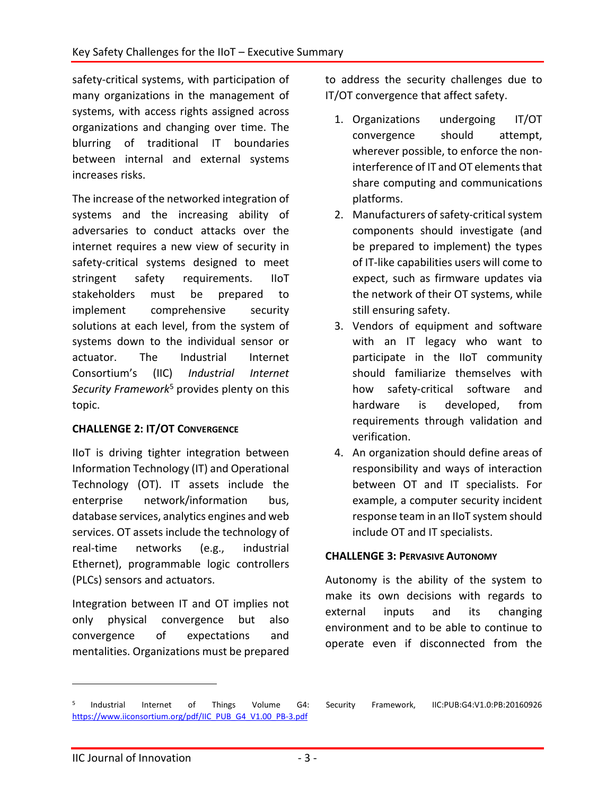safety-critical systems, with participation of many organizations in the management of systems, with access rights assigned across organizations and changing over time. The blurring of traditional IT boundaries between internal and external systems increases risks.

The increase of the networked integration of systems and the increasing ability of adversaries to conduct attacks over the internet requires a new view of security in safety-critical systems designed to meet stringent safety requirements. IIoT stakeholders must be prepared to implement comprehensive security solutions at each level, from the system of systems down to the individual sensor or actuator. The Industrial Internet Consortium's (IIC) *Industrial Internet Security Framework*<sup>5</sup> provides plenty on this topic.

#### **CHALLENGE 2: IT/OT CONVERGENCE**

IIoT is driving tighter integration between Information Technology (IT) and Operational Technology (OT). IT assets include the enterprise network/information bus, database services, analytics engines and web services. OT assets include the technology of real-time networks (e.g., industrial Ethernet), programmable logic controllers (PLCs) sensors and actuators.

Integration between IT and OT implies not only physical convergence but also convergence of expectations and mentalities. Organizations must be prepared

to address the security challenges due to IT/OT convergence that affect safety.

- 1. Organizations undergoing IT/OT convergence should attempt, wherever possible, to enforce the noninterference of IT and OT elements that share computing and communications platforms.
- 2. Manufacturers of safety-critical system components should investigate (and be prepared to implement) the types of IT-like capabilities users will come to expect, such as firmware updates via the network of their OT systems, while still ensuring safety.
- 3. Vendors of equipment and software with an IT legacy who want to participate in the IIoT community should familiarize themselves with how safety-critical software and hardware is developed, from requirements through validation and verification.
- 4. An organization should define areas of responsibility and ways of interaction between OT and IT specialists. For example, a computer security incident response team in an IIoT system should include OT and IT specialists.

#### **CHALLENGE 3: PERVASIVE AUTONOMY**

Autonomy is the ability of the system to make its own decisions with regards to external inputs and its changing environment and to be able to continue to operate even if disconnected from the

 $\overline{a}$ 

<sup>5</sup> [https://www.iiconsortium.org/pdf/IIC\\_PUB\\_G4\\_V1.00\\_PB-3.pdf](https://www.iiconsortium.org/pdf/IIC_PUB_G4_V1.00_PB-3.pdf)

Industrial Internet of Things Volume G4: Security Framework, IIC:PUB:G4:V1.0:PB:20160926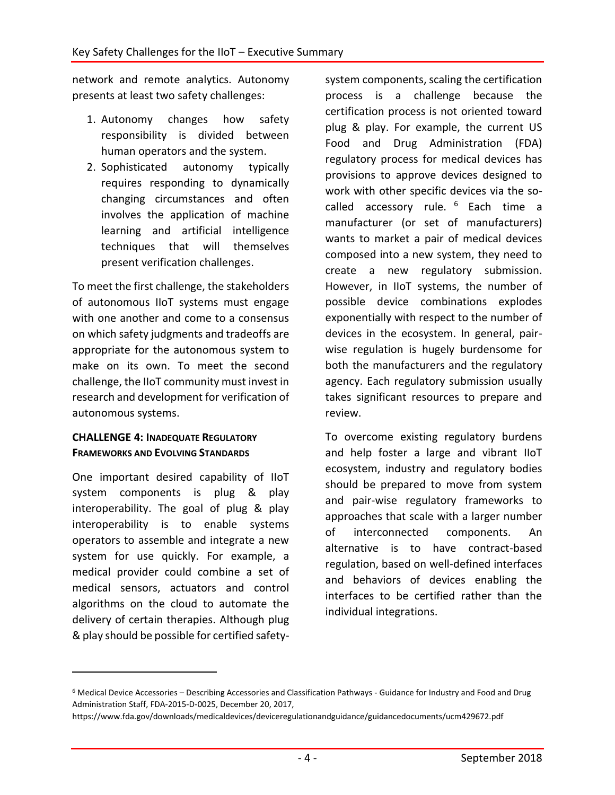network and remote analytics. Autonomy presents at least two safety challenges:

- 1. Autonomy changes how safety responsibility is divided between human operators and the system.
- 2. Sophisticated autonomy typically requires responding to dynamically changing circumstances and often involves the application of machine learning and artificial intelligence techniques that will themselves present verification challenges.

To meet the first challenge, the stakeholders of autonomous IIoT systems must engage with one another and come to a consensus on which safety judgments and tradeoffs are appropriate for the autonomous system to make on its own. To meet the second challenge, the IIoT community must invest in research and development for verification of autonomous systems.

#### **CHALLENGE 4: INADEQUATE REGULATORY FRAMEWORKS AND EVOLVING STANDARDS**

One important desired capability of IIoT system components is plug & play interoperability. The goal of plug & play interoperability is to enable systems operators to assemble and integrate a new system for use quickly. For example, a medical provider could combine a set of medical sensors, actuators and control algorithms on the cloud to automate the delivery of certain therapies. Although plug & play should be possible for certified safety-

 $\overline{a}$ 

system components, scaling the certification process is a challenge because the certification process is not oriented toward plug & play. For example, the current US Food and Drug Administration (FDA) regulatory process for medical devices has provisions to approve devices designed to work with other specific devices via the socalled accessory rule. <sup>6</sup> Each time a manufacturer (or set of manufacturers) wants to market a pair of medical devices composed into a new system, they need to create a new regulatory submission. However, in IIoT systems, the number of possible device combinations explodes exponentially with respect to the number of devices in the ecosystem. In general, pairwise regulation is hugely burdensome for both the manufacturers and the regulatory agency. Each regulatory submission usually takes significant resources to prepare and review.

To overcome existing regulatory burdens and help foster a large and vibrant IIoT ecosystem, industry and regulatory bodies should be prepared to move from system and pair-wise regulatory frameworks to approaches that scale with a larger number of interconnected components. An alternative is to have contract-based regulation, based on well-defined interfaces and behaviors of devices enabling the interfaces to be certified rather than the individual integrations.

<sup>6</sup> Medical Device Accessories – Describing Accessories and Classification Pathways - Guidance for Industry and Food and Drug Administration Staff, FDA-2015-D-0025, December 20, 2017,

https://www.fda.gov/downloads/medicaldevices/deviceregulationandguidance/guidancedocuments/ucm429672.pdf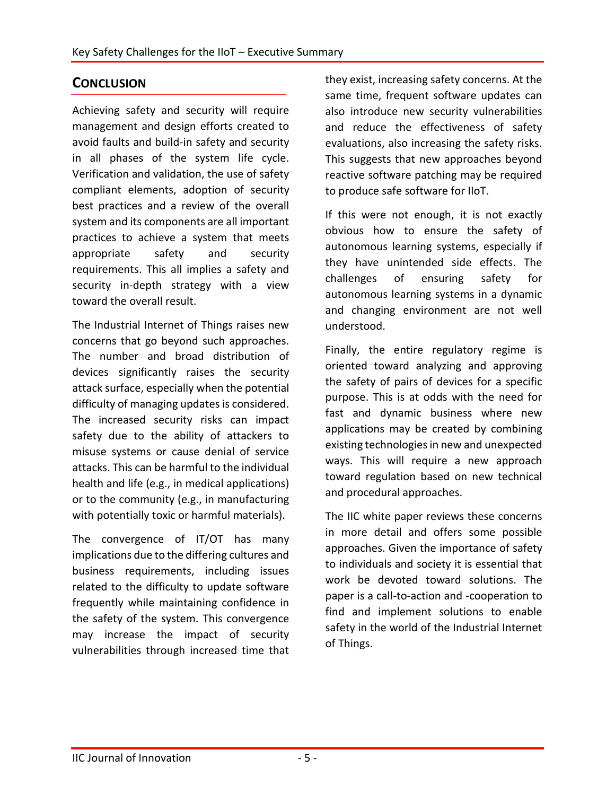### **CONCLUSION**

Achieving safety and security will require management and design efforts created to avoid faults and build-in safety and security in all phases of the system life cycle. Verification and validation, the use of safety compliant elements, adoption of security best practices and a review of the overall system and its components are all important practices to achieve a system that meets appropriate safety and security requirements. This all implies a safety and security in-depth strategy with a view toward the overall result.

The Industrial Internet of Things raises new concerns that go beyond such approaches. The number and broad distribution of devices significantly raises the security attack surface, especially when the potential difficulty of managing updates is considered. The increased security risks can impact safety due to the ability of attackers to misuse systems or cause denial of service attacks. This can be harmful to the individual health and life (e.g., in medical applications) or to the community (e.g., in manufacturing with potentially toxic or harmful materials).

The convergence of IT/OT has many implications due to the differing cultures and business requirements, including issues related to the difficulty to update software frequently while maintaining confidence in the safety of the system. This convergence may increase the impact of security vulnerabilities through increased time that

they exist, increasing safety concerns. At the same time, frequent software updates can also introduce new security vulnerabilities and reduce the effectiveness of safety evaluations, also increasing the safety risks. This suggests that new approaches beyond reactive software patching may be required to produce safe software for IIoT.

If this were not enough, it is not exactly obvious how to ensure the safety of autonomous learning systems, especially if they have unintended side effects. The challenges of ensuring safety for autonomous learning systems in a dynamic and changing environment are not well understood.

Finally, the entire regulatory regime is oriented toward analyzing and approving the safety of pairs of devices for a specific purpose. This is at odds with the need for fast and dynamic business where new applications may be created by combining existing technologies in new and unexpected ways. This will require a new approach toward regulation based on new technical and procedural approaches.

The IIC white paper reviews these concerns in more detail and offers some possible approaches. Given the importance of safety to individuals and society it is essential that work be devoted toward solutions. The paper is a call-to-action and -cooperation to find and implement solutions to enable safety in the world of the Industrial Internet of Things.